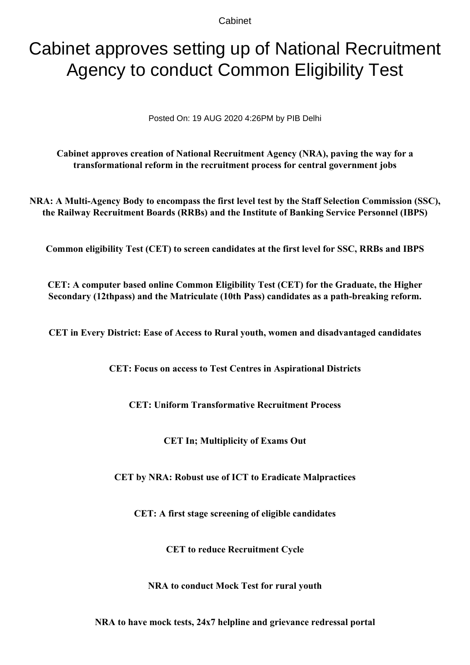Cabinet

# Cabinet approves setting up of National Recruitment Agency to conduct Common Eligibility Test

Posted On: 19 AUG 2020 4:26PM by PIB Delhi

**Cabinet approves creation of National Recruitment Agency (NRA), paving the way for a transformational reform in the recruitment process for central government jobs**

**NRA: A Multi-Agency Body to encompass the first level test by the Staff Selection Commission (SSC), the Railway Recruitment Boards (RRBs) and the Institute of Banking Service Personnel (IBPS)**

**Common eligibility Test (CET) to screen candidates at the first level for SSC, RRBs and IBPS**

**CET: A computer based online Common Eligibility Test (CET) for the Graduate, the Higher Secondary (12thpass) and the Matriculate (10th Pass) candidates as a path-breaking reform.**

**CET in Every District: Ease of Access to Rural youth, women and disadvantaged candidates**

**CET: Focus on access to Test Centres in Aspirational Districts**

**CET: Uniform Transformative Recruitment Process**

**CET In; Multiplicity of Exams Out**

**CET by NRA: Robust use of ICT to Eradicate Malpractices**

**CET: A first stage screening of eligible candidates**

**CET to reduce Recruitment Cycle**

**NRA to conduct Mock Test for rural youth**

**NRA to have mock tests, 24x7 helpline and grievance redressal portal**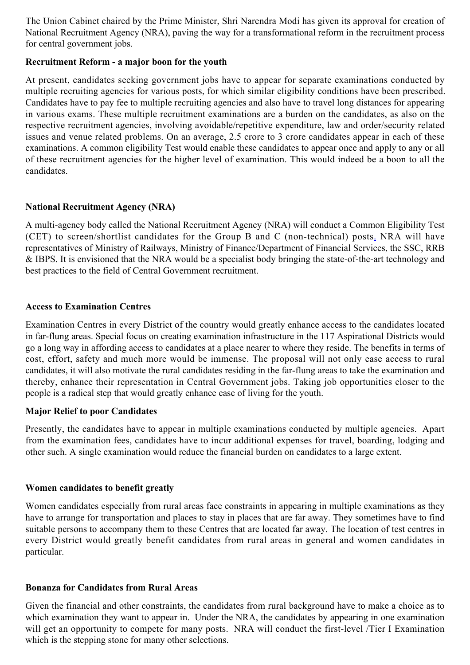The Union Cabinet chaired by the Prime Minister, Shri Narendra Modi has given its approval for creation of National Recruitment Agency (NRA), paving the way for a transformational reform in the recruitment process for central government jobs.

## **Recruitment Reform - a major boon for the youth**

At present, candidates seeking government jobs have to appear for separate examinations conducted by multiple recruiting agencies for various posts, for which similar eligibility conditions have been prescribed. Candidates have to pay fee to multiple recruiting agencies and also have to travel long distances for appearing in various exams. These multiple recruitment examinations are a burden on the candidates, as also on the respective recruitment agencies, involving avoidable/repetitive expenditure, law and order/security related issues and venue related problems. On an average, 2.5 crore to 3 crore candidates appear in each of these examinations. A common eligibility Test would enable these candidates to appear once and apply to any or all of these recruitment agencies for the higher level of examination. This would indeed be a boon to all the candidates.

## **National Recruitment Agency (NRA)**

A multi-agency body called the National Recruitment Agency (NRA) will conduct a Common Eligibility Test (CET) to screen/shortlist candidates for the Group B and C (non-technical) posts. NRA will have representatives of Ministry of Railways, Ministry of Finance/Department of Financial Services, the SSC, RRB & IBPS. It is envisioned that the NRA would be a specialist body bringing the state-of-the-art technology and best practices to the field of Central Government recruitment.

## **Access to Examination Centres**

Examination Centres in every District of the country would greatly enhance access to the candidates located in far-flung areas. Special focus on creating examination infrastructure in the 117 Aspirational Districts would go a long way in affording access to candidates at a place nearer to where they reside. The benefits in terms of cost, effort, safety and much more would be immense. The proposal will not only ease access to rural candidates, it will also motivate the rural candidates residing in the far-flung areas to take the examination and thereby, enhance their representation in Central Government jobs. Taking job opportunities closer to the people is a radical step that would greatly enhance ease of living for the youth.

## **Major Relief to poor Candidates**

Presently, the candidates have to appear in multiple examinations conducted by multiple agencies. Apart from the examination fees, candidates have to incur additional expenses for travel, boarding, lodging and other such. A single examination would reduce the financial burden on candidates to a large extent.

## **Women candidates to benefit greatly**

Women candidates especially from rural areas face constraints in appearing in multiple examinations as they have to arrange for transportation and places to stay in places that are far away. They sometimes have to find suitable persons to accompany them to these Centres that are located far away. The location of test centres in every District would greatly benefit candidates from rural areas in general and women candidates in particular.

## **Bonanza for Candidates from Rural Areas**

Given the financial and other constraints, the candidates from rural background have to make a choice as to which examination they want to appear in. Under the NRA, the candidates by appearing in one examination will get an opportunity to compete for many posts. NRA will conduct the first-level /Tier I Examination which is the stepping stone for many other selections.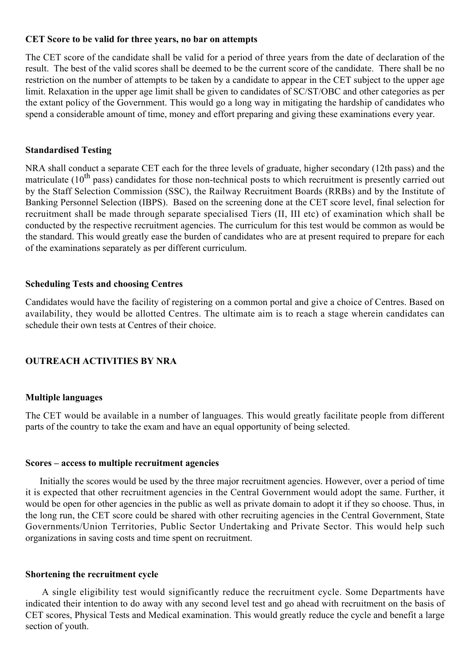### **CET Score to be valid for three years, no bar on attempts**

The CET score of the candidate shall be valid for a period of three years from the date of declaration of the result. The best of the valid scores shall be deemed to be the current score of the candidate. There shall be no restriction on the number of attempts to be taken by a candidate to appear in the CET subject to the upper age limit. Relaxation in the upper age limit shall be given to candidates of SC/ST/OBC and other categories as per the extant policy of the Government. This would go a long way in mitigating the hardship of candidates who spend a considerable amount of time, money and effort preparing and giving these examinations every year.

#### **Standardised Testing**

NRA shall conduct a separate CET each for the three levels of graduate, higher secondary (12th pass) and the matriculate  $(10^{th}$  pass) candidates for those non-technical posts to which recruitment is presently carried out by the Staff Selection Commission (SSC), the Railway Recruitment Boards (RRBs) and by the Institute of Banking Personnel Selection (IBPS). Based on the screening done at the CET score level, final selection for recruitment shall be made through separate specialised Tiers (II, III etc) of examination which shall be conducted by the respective recruitment agencies. The curriculum for this test would be common as would be the standard. This would greatly ease the burden of candidates who are at present required to prepare for each of the examinations separately as per different curriculum.

## **Scheduling Tests and choosing Centres**

Candidates would have the facility of registering on a common portal and give a choice of Centres. Based on availability, they would be allotted Centres. The ultimate aim is to reach a stage wherein candidates can schedule their own tests at Centres of their choice.

# **OUTREACH ACTIVITIES BY NRA**

## **Multiple languages**

The CET would be available in a number of languages. This would greatly facilitate people from different parts of the country to take the exam and have an equal opportunity of being selected.

#### **Scores – access to multiple recruitment agencies**

 Initially the scores would be used by the three major recruitment agencies. However, over a period of time it is expected that other recruitment agencies in the Central Government would adopt the same. Further, it would be open for other agencies in the public as well as private domain to adopt it if they so choose. Thus, in the long run, the CET score could be shared with other recruiting agencies in the Central Government, State Governments/Union Territories, Public Sector Undertaking and Private Sector. This would help such organizations in saving costs and time spent on recruitment.

#### **Shortening the recruitment cycle**

 A single eligibility test would significantly reduce the recruitment cycle. Some Departments have indicated their intention to do away with any second level test and go ahead with recruitment on the basis of CET scores, Physical Tests and Medical examination. This would greatly reduce the cycle and benefit a large section of youth.